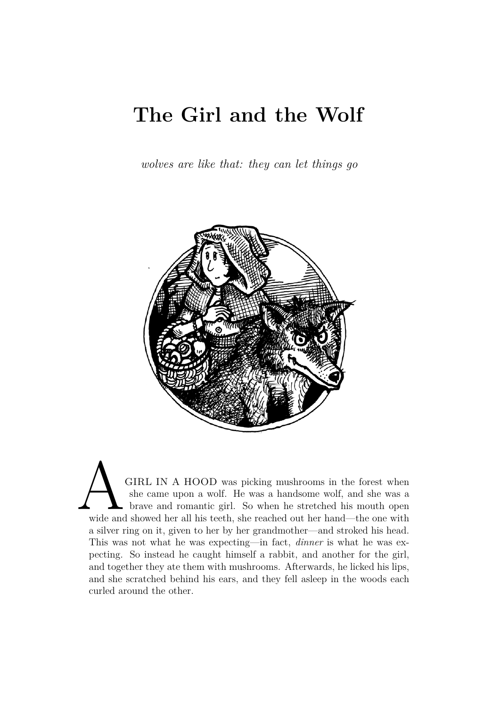## **The Girl and the Wolf**

*wolves are like that: they can let things go*



GIRL IN A HOOD was picking mushrooms in the forest when she came upon a wolf. He was a handsome wolf, and she was a brave and romantic girl. So when he stretched his mouth open wide and showed her all his teeth, she reache GIRL IN A HOOD was picking mushrooms in the forest when she came upon a wolf. He was a handsome wolf, and she was a brave and romantic girl. So when he stretched his mouth open a silver ring on it, given to her by her grandmother—and stroked his head. This was not what he was expecting—in fact, *dinner* is what he was expecting. So instead he caught himself a rabbit, and another for the girl, and together they ate them with mushrooms. Afterwards, he licked his lips, and she scratched behind his ears, and they fell asleep in the woods each curled around the other.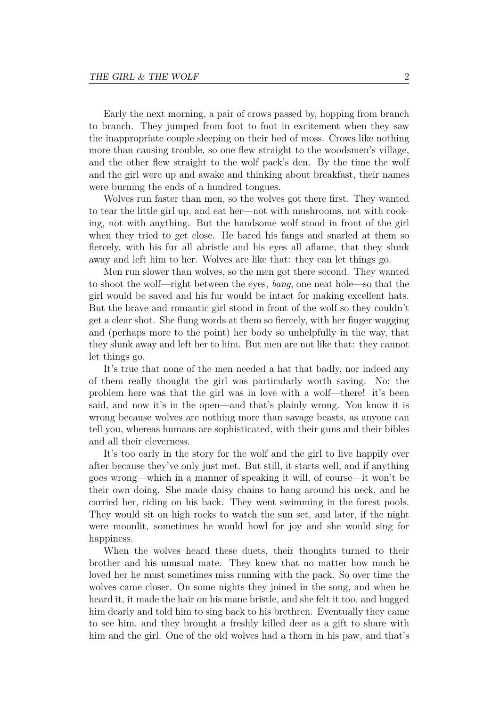Early the next morning, a pair of crows passed by, hopping from branch to branch. They jumped from foot to foot in excitement when they saw the inappropriate couple sleeping on their bed of moss. Crows like nothing more than causing trouble, so one flew straight to the woodsmen's village, and the other flew straight to the wolf pack's den. By the time the wolf and the girl were up and awake and thinking about breakfast, their names were burning the ends of a hundred tongues.

Wolves run faster than men, so the wolves got there first. They wanted to tear the little girl up, and eat her—not with mushrooms, not with cooking, not with anything. But the handsome wolf stood in front of the girl when they tried to get close. He bared his fangs and snarled at them so fiercely, with his fur all abristle and his eyes all aflame, that they slunk away and left him to her. Wolves are like that: they can let things go.

Men run slower than wolves, so the men got there second. They wanted to shoot the wolf—right between the eyes, *bang*, one neat hole—so that the girl would be saved and his fur would be intact for making excellent hats. But the brave and romantic girl stood in front of the wolf so they couldn't get a clear shot. She flung words at them so fiercely, with her finger wagging and (perhaps more to the point) her body so unhelpfully in the way, that they slunk away and left her to him. But men are not like that: they cannot let things go.

It's true that none of the men needed a hat that badly, nor indeed any of them really thought the girl was particularly worth saving. No; the problem here was that the girl was in love with a wolf—there! it's been said, and now it's in the open—and that's plainly wrong. You know it is wrong because wolves are nothing more than savage beasts, as anyone can tell you, whereas humans are sophisticated, with their guns and their bibles and all their cleverness.

It's too early in the story for the wolf and the girl to live happily ever after because they've only just met. But still, it starts well, and if anything goes wrong—which in a manner of speaking it will, of course—it won't be their own doing. She made daisy chains to hang around his neck, and he carried her, riding on his back. They went swimming in the forest pools. They would sit on high rocks to watch the sun set, and later, if the night were moonlit, sometimes he would howl for joy and she would sing for happiness.

When the wolves heard these duets, their thoughts turned to their brother and his unusual mate. They knew that no matter how much he loved her he must sometimes miss running with the pack. So over time the wolves came closer. On some nights they joined in the song, and when he heard it, it made the hair on his mane bristle, and she felt it too, and hugged him dearly and told him to sing back to his brethren. Eventually they came to see him, and they brought a freshly killed deer as a gift to share with him and the girl. One of the old wolves had a thorn in his paw, and that's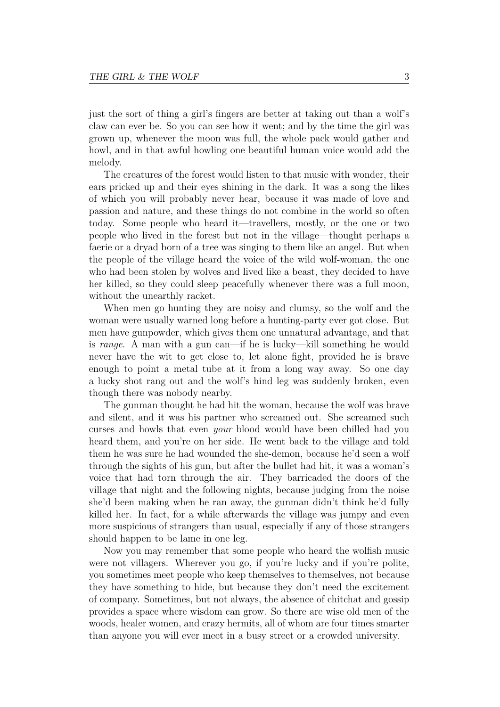just the sort of thing a girl's fingers are better at taking out than a wolf's claw can ever be. So you can see how it went; and by the time the girl was grown up, whenever the moon was full, the whole pack would gather and howl, and in that awful howling one beautiful human voice would add the melody.

The creatures of the forest would listen to that music with wonder, their ears pricked up and their eyes shining in the dark. It was a song the likes of which you will probably never hear, because it was made of love and passion and nature, and these things do not combine in the world so often today. Some people who heard it—travellers, mostly, or the one or two people who lived in the forest but not in the village—thought perhaps a faerie or a dryad born of a tree was singing to them like an angel. But when the people of the village heard the voice of the wild wolf-woman, the one who had been stolen by wolves and lived like a beast, they decided to have her killed, so they could sleep peacefully whenever there was a full moon, without the unearthly racket.

When men go hunting they are noisy and clumsy, so the wolf and the woman were usually warned long before a hunting-party ever got close. But men have gunpowder, which gives them one unnatural advantage, and that is *range*. A man with a gun can—if he is lucky—kill something he would never have the wit to get close to, let alone fight, provided he is brave enough to point a metal tube at it from a long way away. So one day a lucky shot rang out and the wolf's hind leg was suddenly broken, even though there was nobody nearby.

The gunman thought he had hit the woman, because the wolf was brave and silent, and it was his partner who screamed out. She screamed such curses and howls that even *your* blood would have been chilled had you heard them, and you're on her side. He went back to the village and told them he was sure he had wounded the she-demon, because he'd seen a wolf through the sights of his gun, but after the bullet had hit, it was a woman's voice that had torn through the air. They barricaded the doors of the village that night and the following nights, because judging from the noise she'd been making when he ran away, the gunman didn't think he'd fully killed her. In fact, for a while afterwards the village was jumpy and even more suspicious of strangers than usual, especially if any of those strangers should happen to be lame in one leg.

Now you may remember that some people who heard the wolfish music were not villagers. Wherever you go, if you're lucky and if you're polite, you sometimes meet people who keep themselves to themselves, not because they have something to hide, but because they don't need the excitement of company. Sometimes, but not always, the absence of chitchat and gossip provides a space where wisdom can grow. So there are wise old men of the woods, healer women, and crazy hermits, all of whom are four times smarter than anyone you will ever meet in a busy street or a crowded university.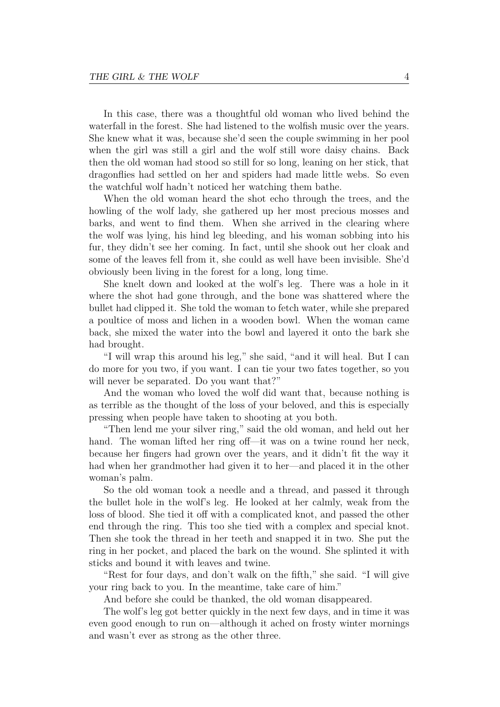In this case, there was a thoughtful old woman who lived behind the waterfall in the forest. She had listened to the wolfish music over the years. She knew what it was, because she'd seen the couple swimming in her pool when the girl was still a girl and the wolf still wore daisy chains. Back then the old woman had stood so still for so long, leaning on her stick, that dragonflies had settled on her and spiders had made little webs. So even the watchful wolf hadn't noticed her watching them bathe.

When the old woman heard the shot echo through the trees, and the howling of the wolf lady, she gathered up her most precious mosses and barks, and went to find them. When she arrived in the clearing where the wolf was lying, his hind leg bleeding, and his woman sobbing into his fur, they didn't see her coming. In fact, until she shook out her cloak and some of the leaves fell from it, she could as well have been invisible. She'd obviously been living in the forest for a long, long time.

She knelt down and looked at the wolf's leg. There was a hole in it where the shot had gone through, and the bone was shattered where the bullet had clipped it. She told the woman to fetch water, while she prepared a poultice of moss and lichen in a wooden bowl. When the woman came back, she mixed the water into the bowl and layered it onto the bark she had brought.

"I will wrap this around his leg," she said, "and it will heal. But I can do more for you two, if you want. I can tie your two fates together, so you will never be separated. Do you want that?"

And the woman who loved the wolf did want that, because nothing is as terrible as the thought of the loss of your beloved, and this is especially pressing when people have taken to shooting at you both.

"Then lend me your silver ring," said the old woman, and held out her hand. The woman lifted her ring of f—it was on a twine round her neck, because her fingers had grown over the years, and it didn't fit the way it had when her grandmother had given it to her—and placed it in the other woman's palm.

So the old woman took a needle and a thread, and passed it through the bullet hole in the wolf's leg. He looked at her calmly, weak from the loss of blood. She tied it off with a complicated knot, and passed the other end through the ring. This too she tied with a complex and special knot. Then she took the thread in her teeth and snapped it in two. She put the ring in her pocket, and placed the bark on the wound. She splinted it with sticks and bound it with leaves and twine.

"Rest for four days, and don't walk on the fifth," she said. "I will give your ring back to you. In the meantime, take care of him."

And before she could be thanked, the old woman disappeared.

The wolf's leg got better quickly in the next few days, and in time it was even good enough to run on—although it ached on frosty winter mornings and wasn't ever as strong as the other three.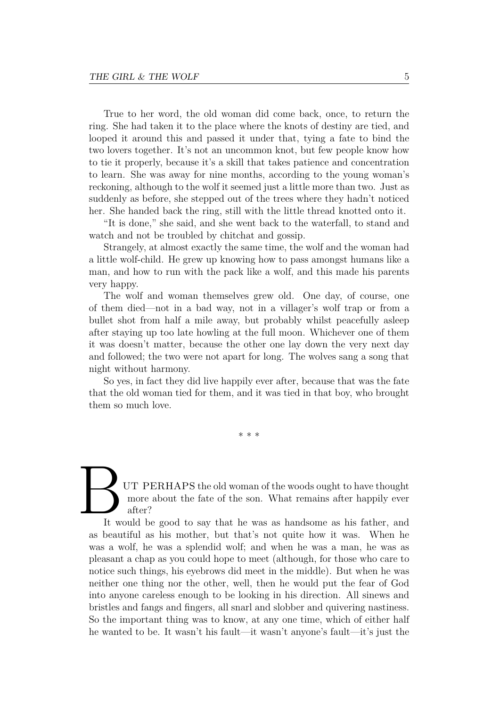True to her word, the old woman did come back, once, to return the ring. She had taken it to the place where the knots of destiny are tied, and looped it around this and passed it under that, tying a fate to bind the two lovers together. It's not an uncommon knot, but few people know how to tie it properly, because it's a skill that takes patience and concentration to learn. She was away for nine months, according to the young woman's reckoning, although to the wolf it seemed just a little more than two. Just as suddenly as before, she stepped out of the trees where they hadn't noticed her. She handed back the ring, still with the little thread knotted onto it.

"It is done," she said, and she went back to the waterfall, to stand and watch and not be troubled by chitchat and gossip.

Strangely, at almost exactly the same time, the wolf and the woman had a little wolf-child. He grew up knowing how to pass amongst humans like a man, and how to run with the pack like a wolf, and this made his parents very happy.

The wolf and woman themselves grew old. One day, of course, one of them died—not in a bad way, not in a villager's wolf trap or from a bullet shot from half a mile away, but probably whilst peacefully asleep after staying up too late howling at the full moon. Whichever one of them it was doesn't matter, because the other one lay down the very next day and followed; the two were not apart for long. The wolves sang a song that night without harmony.

So yes, in fact they did live happily ever after, because that was the fate that the old woman tied for them, and it was tied in that boy, who brought them so much love.

\* \* \*

 $\sum_{\rm{Itw}}$ UT PERHAPS the old woman of the woods ought to have thought more about the fate of the son. What remains after happily ever after?

It would be good to say that he was as handsome as his father, and as beautiful as his mother, but that's not quite how it was. When he was a wolf, he was a splendid wolf; and when he was a man, he was as pleasant a chap as you could hope to meet (although, for those who care to notice such things, his eyebrows did meet in the middle). But when he was neither one thing nor the other, well, then he would put the fear of God into anyone careless enough to be looking in his direction. All sinews and bristles and fangs and fingers, all snarl and slobber and quivering nastiness. So the important thing was to know, at any one time, which of either half he wanted to be. It wasn't his fault—it wasn't anyone's fault—it's just the